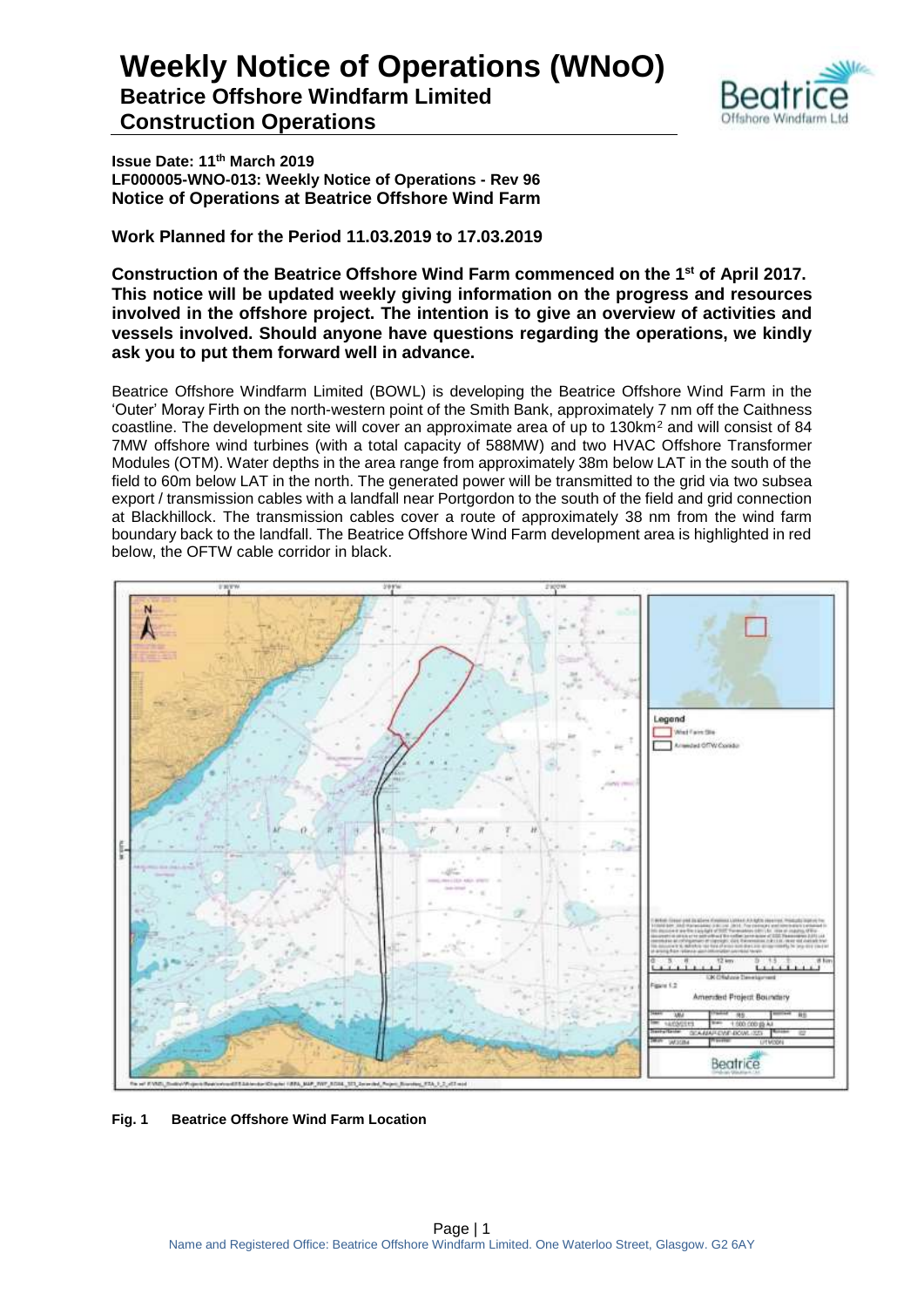

**Issue Date: 11th March 2019 LF000005-WNO-013: Weekly Notice of Operations - Rev 96 Notice of Operations at Beatrice Offshore Wind Farm**

**Work Planned for the Period 11.03.2019 to 17.03.2019**

**Construction of the Beatrice Offshore Wind Farm commenced on the 1 st of April 2017. This notice will be updated weekly giving information on the progress and resources involved in the offshore project. The intention is to give an overview of activities and vessels involved. Should anyone have questions regarding the operations, we kindly ask you to put them forward well in advance.** 

Beatrice Offshore Windfarm Limited (BOWL) is developing the Beatrice Offshore Wind Farm in the 'Outer' Moray Firth on the north-western point of the Smith Bank, approximately 7 nm off the Caithness coastline. The development site will cover an approximate area of up to 130km<sup>2</sup> and will consist of 84 7MW offshore wind turbines (with a total capacity of 588MW) and two HVAC Offshore Transformer Modules (OTM). Water depths in the area range from approximately 38m below LAT in the south of the field to 60m below LAT in the north. The generated power will be transmitted to the grid via two subsea export / transmission cables with a landfall near Portgordon to the south of the field and grid connection at Blackhillock. The transmission cables cover a route of approximately 38 nm from the wind farm boundary back to the landfall. The Beatrice Offshore Wind Farm development area is highlighted in red below, the OFTW cable corridor in black.



**Fig. 1 Beatrice Offshore Wind Farm Location**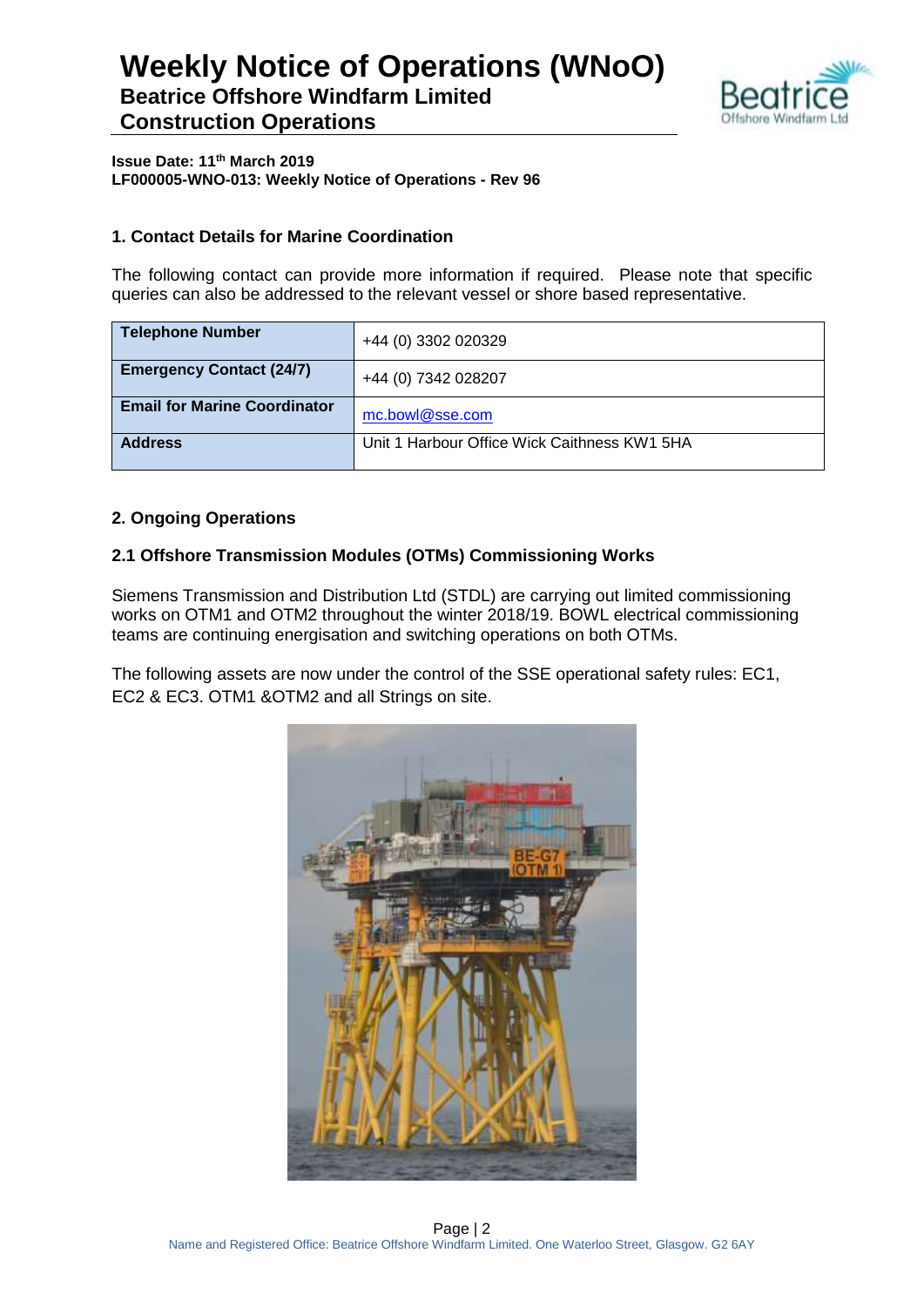

**Issue Date: 11th March 2019 LF000005-WNO-013: Weekly Notice of Operations - Rev 96**

#### **1. Contact Details for Marine Coordination**

The following contact can provide more information if required. Please note that specific queries can also be addressed to the relevant vessel or shore based representative.

| <b>Telephone Number</b>             | +44 (0) 3302 020329                          |
|-------------------------------------|----------------------------------------------|
| <b>Emergency Contact (24/7)</b>     | +44 (0) 7342 028207                          |
| <b>Email for Marine Coordinator</b> | mc.bowl@sse.com                              |
| <b>Address</b>                      | Unit 1 Harbour Office Wick Caithness KW1 5HA |

#### **2. Ongoing Operations**

#### **2.1 Offshore Transmission Modules (OTMs) Commissioning Works**

Siemens Transmission and Distribution Ltd (STDL) are carrying out limited commissioning works on OTM1 and OTM2 throughout the winter 2018/19. BOWL electrical commissioning teams are continuing energisation and switching operations on both OTMs.

The following assets are now under the control of the SSE operational safety rules: EC1, EC2 & EC3. OTM1 &OTM2 and all Strings on site.

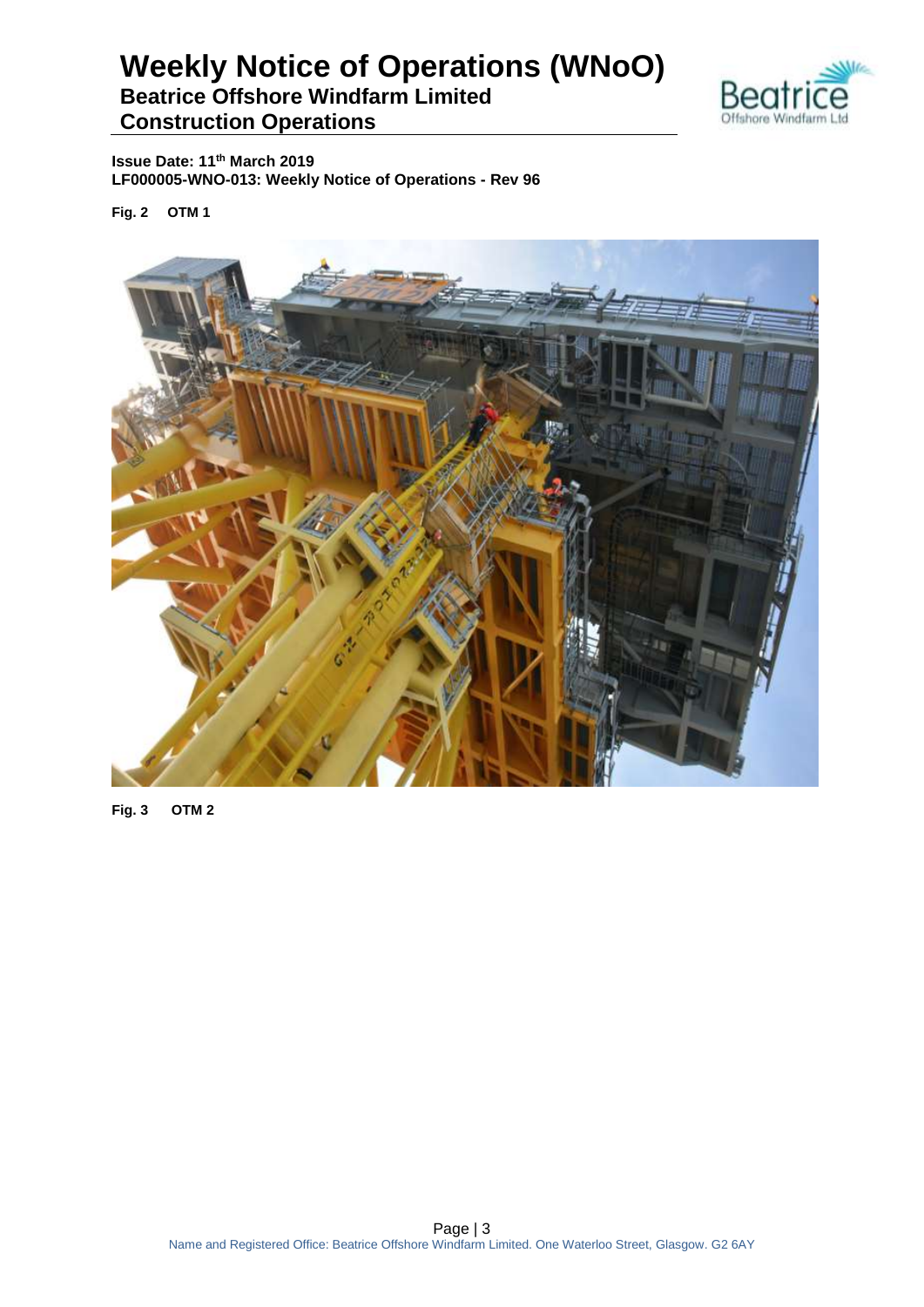

**Issue Date: 11th March 2019 LF000005-WNO-013: Weekly Notice of Operations - Rev 96**

**Fig. 2 OTM 1**



**Fig. 3 OTM 2**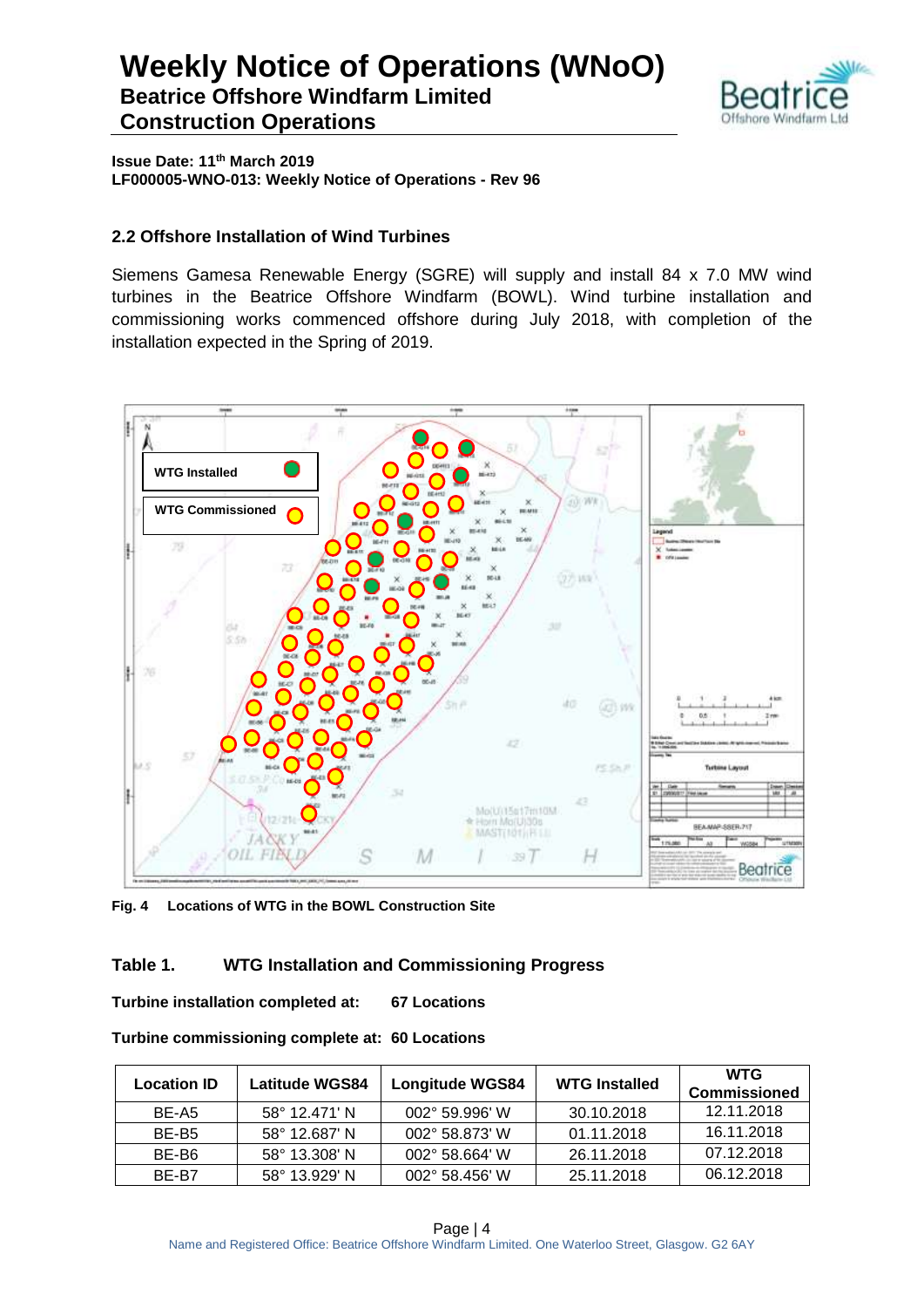

**Issue Date: 11th March 2019 LF000005-WNO-013: Weekly Notice of Operations - Rev 96**

#### **2.2 Offshore Installation of Wind Turbines**

Siemens Gamesa Renewable Energy (SGRE) will supply and install 84 x 7.0 MW wind turbines in the Beatrice Offshore Windfarm (BOWL). Wind turbine installation and commissioning works commenced offshore during July 2018, with completion of the installation expected in the Spring of 2019.



**Fig. 4 Locations of WTG in the BOWL Construction Site**

#### **Table 1. WTG Installation and Commissioning Progress**

**Turbine installation completed at: 67 Locations**

| <b>Location ID</b> | <b>Latitude WGS84</b>  | <b>Longitude WGS84</b>  | <b>WTG Installed</b> | <b>WTG</b><br><b>Commissioned</b> |
|--------------------|------------------------|-------------------------|----------------------|-----------------------------------|
| BE-A5              | $58^{\circ}$ 12.471' N | $002^{\circ}$ 59.996' W | 30.10.2018           | 12.11.2018                        |
| BE-B <sub>5</sub>  | $58^{\circ}$ 12.687' N | 002° 58.873' W          | 01.11.2018           | 16.11.2018                        |
| BE-B6              | $58^{\circ}$ 13.308' N | $002^{\circ}$ 58.664' W | 26.11.2018           | 07.12.2018                        |
| BF-B7              | $58^{\circ}$ 13.929' N | $002^{\circ}$ 58.456' W | 25.11.2018           | 06.12.2018                        |

**Turbine commissioning complete at: 60 Locations**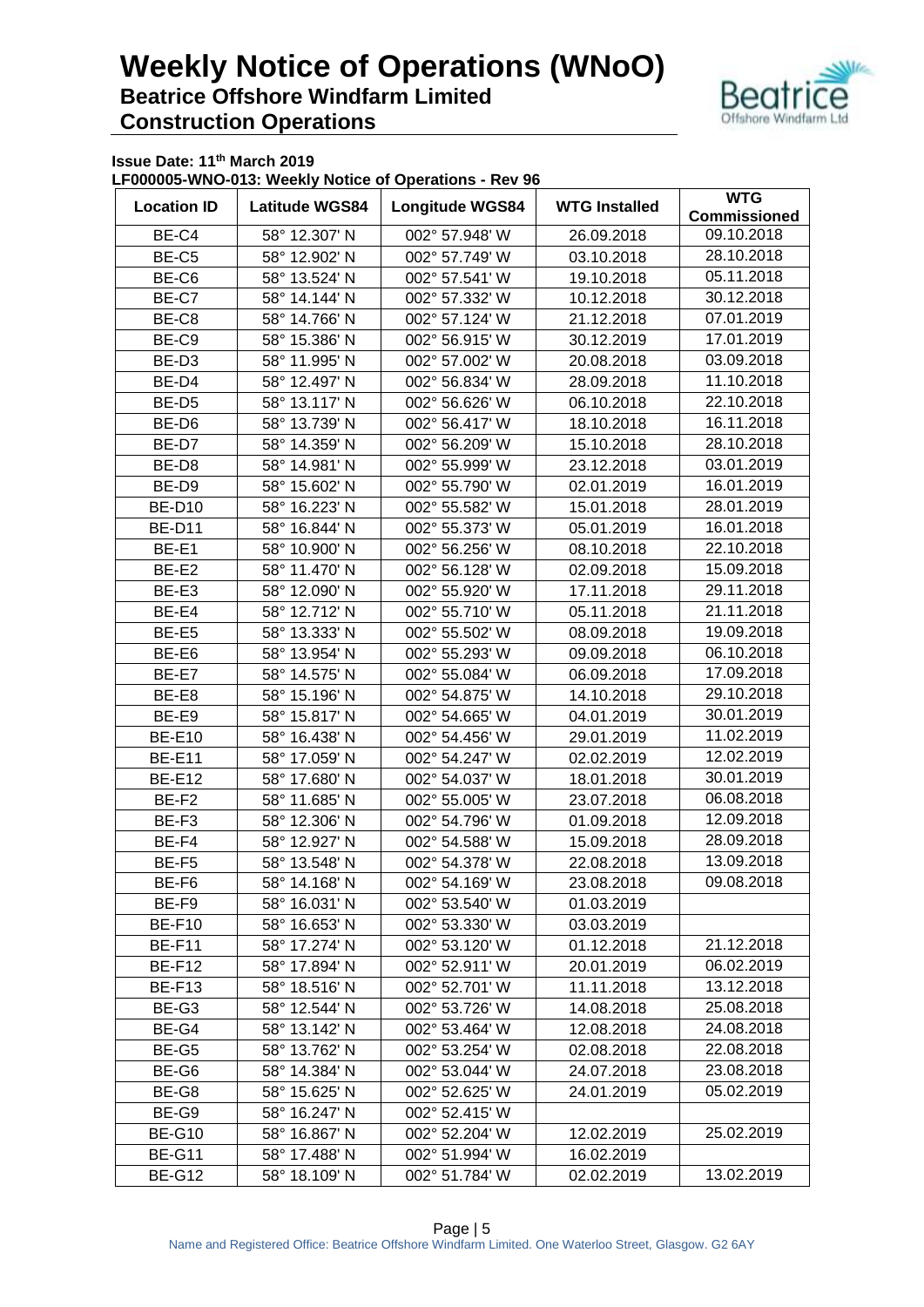

**Issue Date: 11th March 2019**

**LF000005-WNO-013: Weekly Notice of Operations - Rev 96**

| <b>Location ID</b> | <b>Latitude WGS84</b>  | <b>Longitude WGS84</b> | <b>WTG Installed</b> | <b>WTG</b><br><b>Commissioned</b> |
|--------------------|------------------------|------------------------|----------------------|-----------------------------------|
| BE-C4              | 58° 12.307' N          | 002° 57.948' W         | 26.09.2018           | 09.10.2018                        |
| BE-C5              | 58° 12.902' N          | 002° 57.749' W         | 03.10.2018           | 28.10.2018                        |
| BE-C6              | 58° 13.524' N          | 002° 57.541' W         | 19.10.2018           | 05.11.2018                        |
| BE-C7              | 58° 14.144' N          | 002° 57.332' W         | 10.12.2018           | 30.12.2018                        |
| BE-C8              | 58° 14.766' N          | 002° 57.124' W         | 21.12.2018           | 07.01.2019                        |
| BE-C9              | 58° 15.386' N          | 002° 56.915' W         | 30.12.2019           | 17.01.2019                        |
| BE-D <sub>3</sub>  | 58° 11.995' N          | 002° 57.002' W         | 20.08.2018           | 03.09.2018                        |
| BE-D4              | 58° 12.497' N          | 002° 56.834' W         | 28.09.2018           | 11.10.2018                        |
| BE-D <sub>5</sub>  | 58° 13.117' N          | 002° 56.626' W         | 06.10.2018           | 22.10.2018                        |
| BE-D6              | 58° 13.739' N          | 002° 56.417' W         | 18.10.2018           | 16.11.2018                        |
| BE-D7              | 58° 14.359' N          | 002° 56.209' W         | 15.10.2018           | 28.10.2018                        |
| BE-D8              |                        | 002° 55.999' W         |                      | 03.01.2019                        |
|                    | 58° 14.981' N          | 002° 55.790' W         | 23.12.2018           | 16.01.2019                        |
| BE-D9              | 58° 15.602' N          |                        | 02.01.2019           | 28.01.2019                        |
| <b>BE-D10</b>      | 58° 16.223' N          | 002° 55.582' W         | 15.01.2018           | 16.01.2018                        |
| <b>BE-D11</b>      | 58° 16.844' N          | 002° 55.373' W         | 05.01.2019           | 22.10.2018                        |
| BE-E1              | 58° 10.900' N          | 002° 56.256' W         | 08.10.2018           |                                   |
| BE-E2              | 58° 11.470' N          | 002° 56.128' W         | 02.09.2018           | 15.09.2018                        |
| BE-E3              | 58° 12.090' N          | 002° 55.920' W         | 17.11.2018           | 29.11.2018                        |
| BE-E4              | 58° 12.712' N          | 002° 55.710' W         | 05.11.2018           | 21.11.2018                        |
| BE-E5              | 58° 13.333' N          | 002° 55.502' W         | 08.09.2018           | 19.09.2018                        |
| BE-E6              | 58° 13.954' N          | 002° 55.293' W         | 09.09.2018           | 06.10.2018                        |
| BE-E7              | 58° 14.575' N          | 002° 55.084' W         | 06.09.2018           | 17.09.2018                        |
| BE-E8              | 58° 15.196' N          | 002° 54.875' W         | 14.10.2018           | 29.10.2018                        |
| BE-E9              | 58° 15.817' N          | 002° 54.665' W         | 04.01.2019           | 30.01.2019                        |
| <b>BE-E10</b>      | 58° 16.438' N          | 002° 54.456' W         | 29.01.2019           | 11.02.2019                        |
| <b>BE-E11</b>      | 58° 17.059' N          | 002° 54.247' W         | 02.02.2019           | 12.02.2019                        |
| <b>BE-E12</b>      | 58° 17.680' N          | 002° 54.037' W         | 18.01.2018           | 30.01.2019                        |
| BE-F2              | 58° 11.685' N          | 002° 55.005' W         | 23.07.2018           | 06.08.2018                        |
| BE-F3              | 58° 12.306' N          | 002° 54.796' W         | 01.09.2018           | 12.09.2018                        |
| BE-F4              | 58° 12.927' N          | 002° 54.588' W         | 15.09.2018           | 28.09.2018                        |
| BE-F5              | 58° 13.548' N          | 002° 54.378' W         | 22.08.2018           | 13.09.2018                        |
| BE-F6              | 58° 14.168' N          | 002° 54.169' W         | 23.08.2018           | 09.08.2018                        |
| BE-F9              | 58° 16.031' N          | 002° 53.540' W         | 01.03.2019           |                                   |
| <b>BE-F10</b>      | 58° 16.653' N          | 002° 53.330' W         | 03.03.2019           |                                   |
| BE-F11             | 58° 17.274' N          | 002° 53.120' W         | 01.12.2018           | 21.12.2018                        |
| <b>BE-F12</b>      | 58° 17.894' N          | 002° 52.911' W         | 20.01.2019           | 06.02.2019                        |
| BE-F13             | $58^{\circ}$ 18.516' N | 002° 52.701' W         | 11.11.2018           | 13.12.2018                        |
| BE-G3              | 58° 12.544' N          | 002° 53.726' W         | 14.08.2018           | 25.08.2018                        |
| BE-G4              | 58° 13.142' N          | 002° 53.464' W         | 12.08.2018           | 24.08.2018                        |
| BE-G5              | 58° 13.762' N          | 002° 53.254' W         | 02.08.2018           | 22.08.2018                        |
| BE-G6              | 58° 14.384' N          | 002° 53.044' W         | 24.07.2018           | 23.08.2018                        |
| BE-G8              | 58° 15.625' N          | 002° 52.625' W         | 24.01.2019           | 05.02.2019                        |
| BE-G9              | 58° 16.247' N          | 002° 52.415' W         |                      |                                   |
| <b>BE-G10</b>      | 58° 16.867' N          | 002° 52.204' W         | 12.02.2019           | 25.02.2019                        |
| <b>BE-G11</b>      | 58° 17.488' N          | 002° 51.994' W         | 16.02.2019           |                                   |
| <b>BE-G12</b>      | 58° 18.109' N          | 002° 51.784' W         | 02.02.2019           | 13.02.2019                        |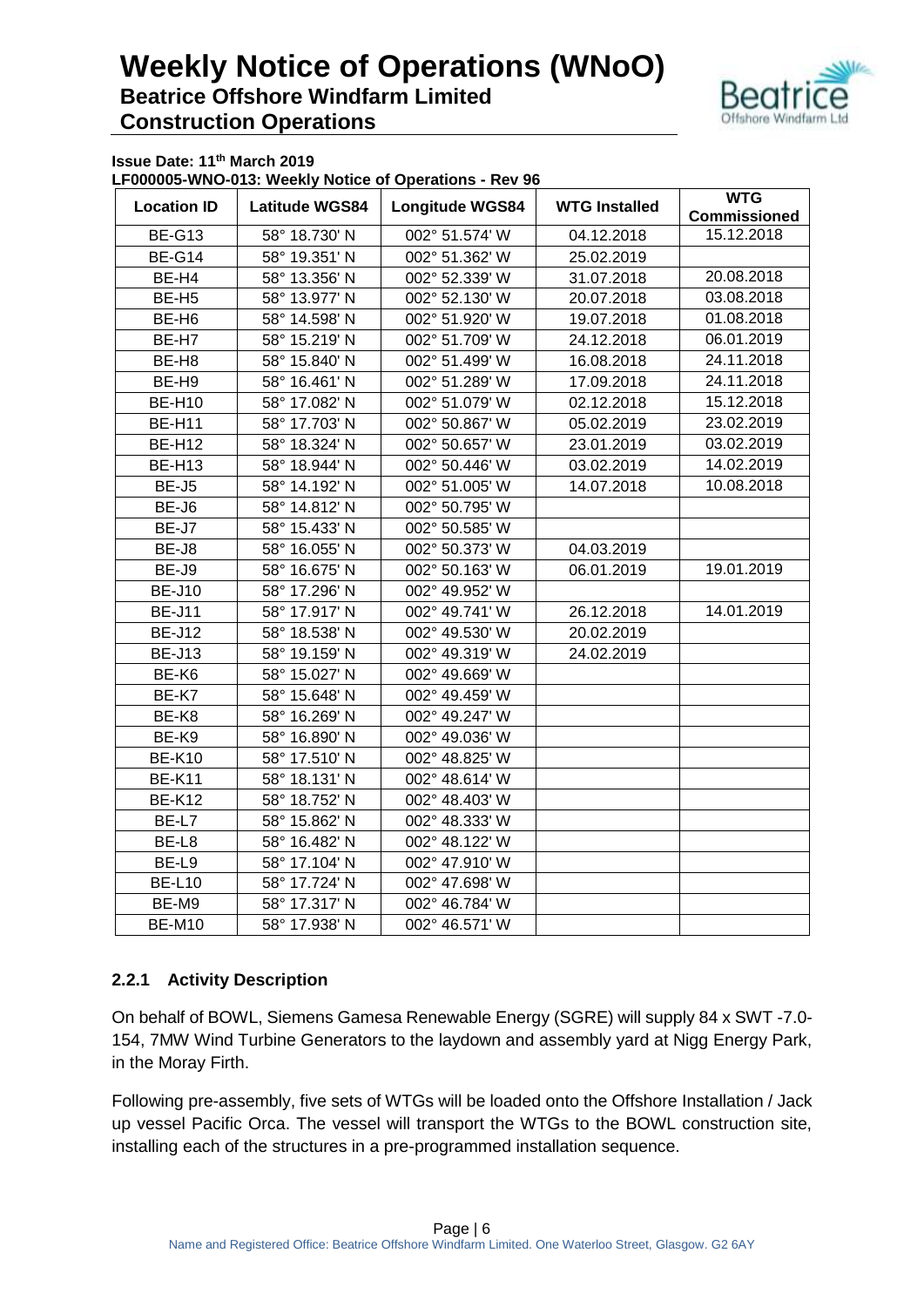

**Issue Date: 11th March 2019**

**LF000005-WNO-013: Weekly Notice of Operations - Rev 96**

|                    | 1.50117               |                        |                      |                                   |
|--------------------|-----------------------|------------------------|----------------------|-----------------------------------|
| <b>Location ID</b> | <b>Latitude WGS84</b> | <b>Longitude WGS84</b> | <b>WTG Installed</b> | <b>WTG</b><br><b>Commissioned</b> |
| <b>BE-G13</b>      | 58° 18.730' N         | 002° 51.574' W         | 04.12.2018           | 15.12.2018                        |
| <b>BE-G14</b>      | 58° 19.351' N         | 002° 51.362' W         | 25.02.2019           |                                   |
| BE-H4              | 58° 13.356' N         | 002° 52.339' W         | 31.07.2018           | 20.08.2018                        |
| BE-H <sub>5</sub>  | 58° 13.977' N         | 002° 52.130' W         | 20.07.2018           | 03.08.2018                        |
| BE-H <sub>6</sub>  | 58° 14.598' N         | 002° 51.920' W         | 19.07.2018           | 01.08.2018                        |
| BE-H7              | 58° 15.219' N         | 002° 51.709' W         | 24.12.2018           | 06.01.2019                        |
| BE-H8              | 58° 15.840' N         | 002° 51.499' W         | 16.08.2018           | 24.11.2018                        |
| BE-H9              | 58° 16.461' N         | 002° 51.289' W         | 17.09.2018           | 24.11.2018                        |
| <b>BE-H10</b>      | 58° 17.082' N         | 002° 51.079' W         | 02.12.2018           | 15.12.2018                        |
| <b>BE-H11</b>      | 58° 17.703' N         | 002° 50.867' W         | 05.02.2019           | 23.02.2019                        |
| <b>BE-H12</b>      | 58° 18.324' N         | 002° 50.657' W         | 23.01.2019           | 03.02.2019                        |
| <b>BE-H13</b>      | 58° 18.944' N         | 002° 50.446' W         | 03.02.2019           | 14.02.2019                        |
| BE-J5              | 58° 14.192' N         | 002° 51.005' W         | 14.07.2018           | 10.08.2018                        |
| BE-J6              | 58° 14.812' N         | 002° 50.795' W         |                      |                                   |
| BE-J7              | 58° 15.433' N         | 002° 50.585' W         |                      |                                   |
| BE-J8              | 58° 16.055' N         | 002° 50.373' W         | 04.03.2019           |                                   |
| BE-J9              | 58° 16.675' N         | 002° 50.163' W         | 06.01.2019           | 19.01.2019                        |
| <b>BE-J10</b>      | 58° 17.296' N         | 002° 49.952' W         |                      |                                   |
| <b>BE-J11</b>      | 58° 17.917' N         | 002° 49.741' W         | 26.12.2018           | 14.01.2019                        |
| <b>BE-J12</b>      | 58° 18.538' N         | 002° 49.530' W         | 20.02.2019           |                                   |
| <b>BE-J13</b>      | 58° 19.159' N         | 002° 49.319' W         | 24.02.2019           |                                   |
| BE-K6              | 58° 15.027' N         | 002° 49.669' W         |                      |                                   |
| BE-K7              | 58° 15.648' N         | 002° 49.459' W         |                      |                                   |
| BE-K8              | 58° 16.269' N         | 002° 49.247' W         |                      |                                   |
| BE-K9              | 58° 16.890' N         | 002° 49.036' W         |                      |                                   |
| <b>BE-K10</b>      | 58° 17.510' N         | 002° 48.825' W         |                      |                                   |
| <b>BE-K11</b>      | 58° 18.131' N         | 002° 48.614' W         |                      |                                   |
| <b>BE-K12</b>      | 58° 18.752' N         | 002° 48.403' W         |                      |                                   |
| BE-L7              | 58° 15.862' N         | 002° 48.333' W         |                      |                                   |
| BE-L8              | 58° 16.482' N         | 002° 48.122' W         |                      |                                   |
| BE-L9              | 58° 17.104' N         | 002° 47.910' W         |                      |                                   |
| <b>BE-L10</b>      | 58° 17.724' N         | 002° 47.698' W         |                      |                                   |
| BE-M9              | 58° 17.317' N         | 002° 46.784' W         |                      |                                   |
| <b>BE-M10</b>      | 58° 17.938' N         | 002° 46.571' W         |                      |                                   |

#### **2.2.1 Activity Description**

On behalf of BOWL, Siemens Gamesa Renewable Energy (SGRE) will supply 84 x SWT -7.0- 154, 7MW Wind Turbine Generators to the laydown and assembly yard at Nigg Energy Park, in the Moray Firth.

Following pre-assembly, five sets of WTGs will be loaded onto the Offshore Installation / Jack up vessel Pacific Orca. The vessel will transport the WTGs to the BOWL construction site, installing each of the structures in a pre-programmed installation sequence.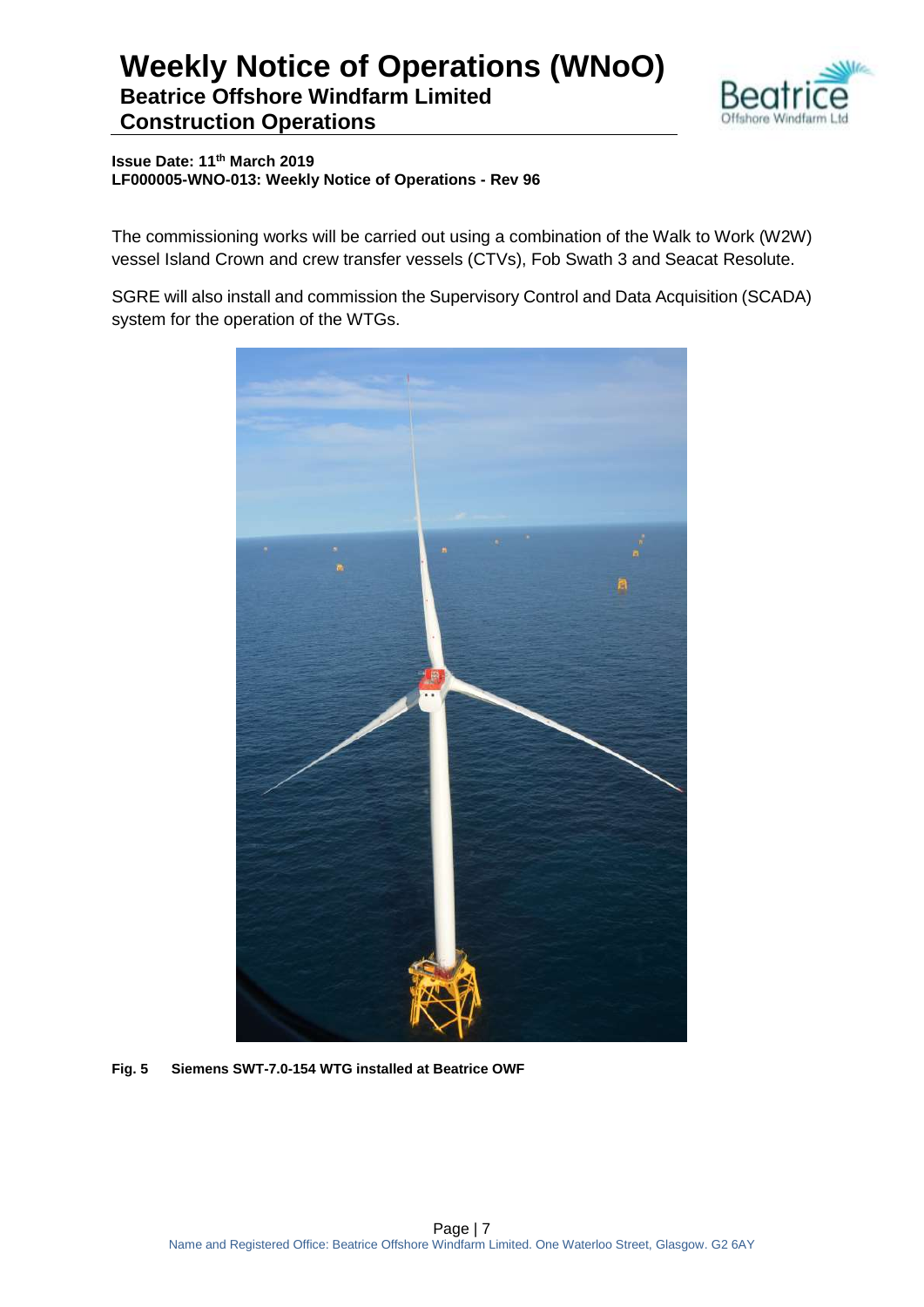

**Issue Date: 11th March 2019 LF000005-WNO-013: Weekly Notice of Operations - Rev 96**

The commissioning works will be carried out using a combination of the Walk to Work (W2W) vessel Island Crown and crew transfer vessels (CTVs), Fob Swath 3 and Seacat Resolute.

SGRE will also install and commission the Supervisory Control and Data Acquisition (SCADA) system for the operation of the WTGs.



**Fig. 5 Siemens SWT-7.0-154 WTG installed at Beatrice OWF**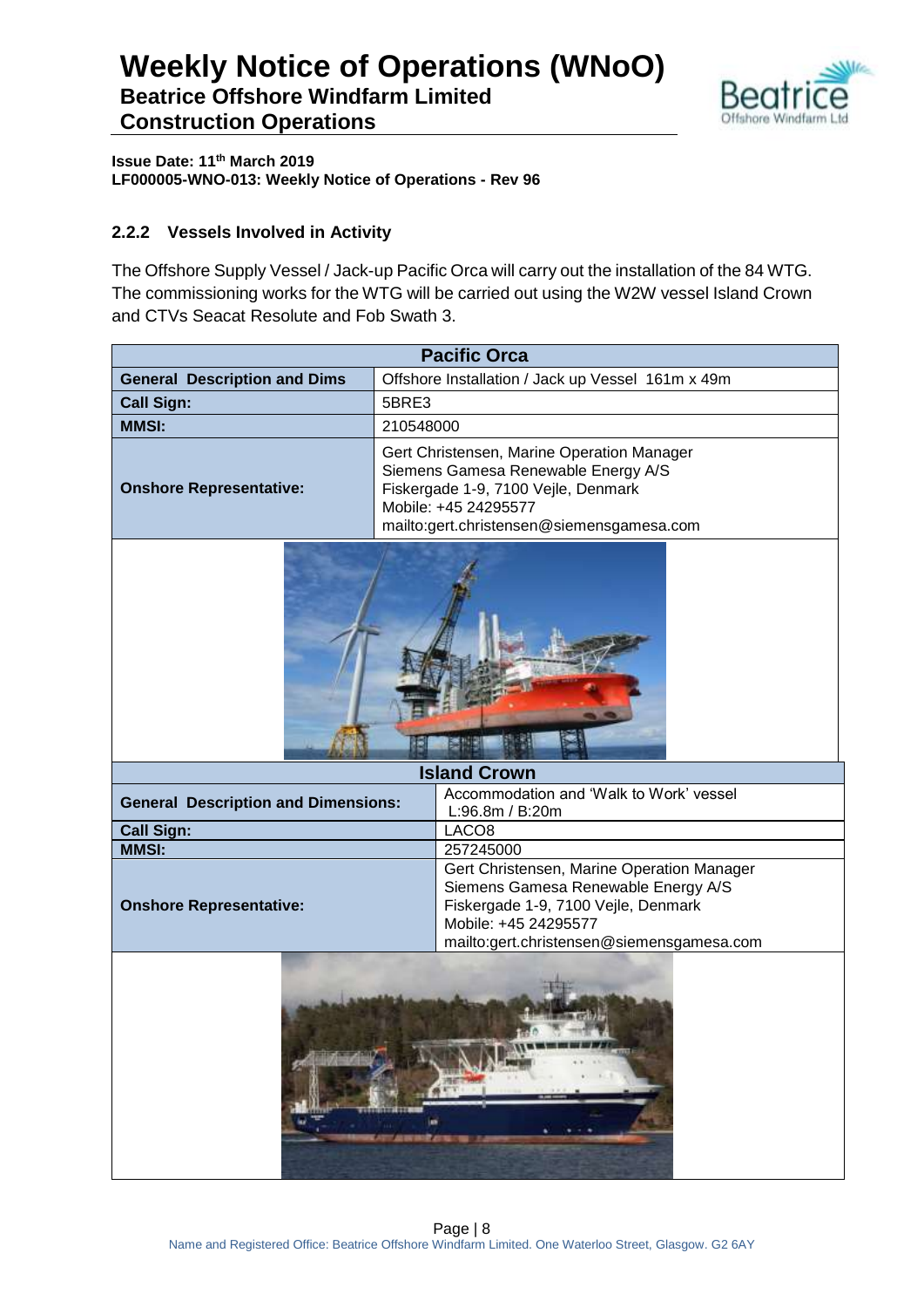

**Issue Date: 11th March 2019 LF000005-WNO-013: Weekly Notice of Operations - Rev 96**

#### **2.2.2 Vessels Involved in Activity**

The Offshore Supply Vessel / Jack-up Pacific Orca will carry out the installation of the 84 WTG. The commissioning works for the WTG will be carried out using the W2W vessel Island Crown and CTVs Seacat Resolute and Fob Swath 3.

| <b>Pacific Orca</b>                        |                                                                                                                                                                                               |  |
|--------------------------------------------|-----------------------------------------------------------------------------------------------------------------------------------------------------------------------------------------------|--|
| <b>General Description and Dims</b>        | Offshore Installation / Jack up Vessel 161m x 49m                                                                                                                                             |  |
| <b>Call Sign:</b>                          | 5BRE3                                                                                                                                                                                         |  |
| <b>MMSI:</b>                               | 210548000                                                                                                                                                                                     |  |
| <b>Onshore Representative:</b>             | Gert Christensen, Marine Operation Manager<br>Siemens Gamesa Renewable Energy A/S<br>Fiskergade 1-9, 7100 Vejle, Denmark<br>Mobile: +45 24295577<br>mailto:gert.christensen@siemensgamesa.com |  |
|                                            |                                                                                                                                                                                               |  |
| <b>Island Crown</b>                        |                                                                                                                                                                                               |  |
| <b>General Description and Dimensions:</b> | Accommodation and 'Walk to Work' vessel<br>L:96.8m / B:20m                                                                                                                                    |  |
| <b>Call Sign:</b>                          | LACO <sub>8</sub>                                                                                                                                                                             |  |
| <b>MMSI:</b>                               | 257245000                                                                                                                                                                                     |  |
| <b>Onshore Representative:</b>             | Gert Christensen, Marine Operation Manager<br>Siemens Gamesa Renewable Energy A/S<br>Fiskergade 1-9, 7100 Vejle, Denmark<br>Mobile: +45 24295577<br>mailto:gert.christensen@siemensgamesa.com |  |
|                                            | 海部<br><b>RUA</b><br>œ<br>建态电池                                                                                                                                                                 |  |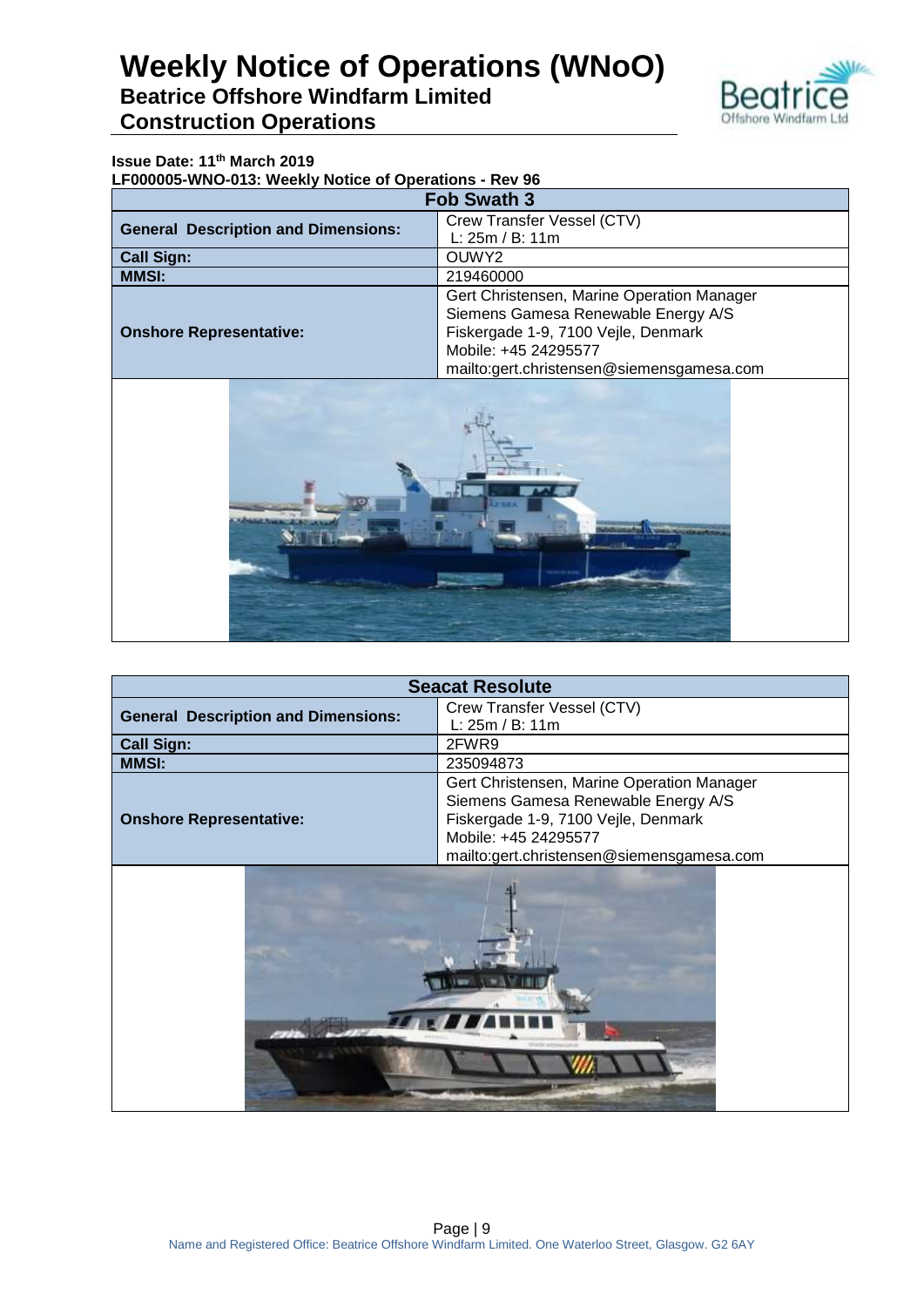

#### **Issue Date: 11th March 2019**

**LF000005-WNO-013: Weekly Notice of Operations - Rev 96**

| <b>Fob Swath 3</b>                         |                                            |
|--------------------------------------------|--------------------------------------------|
| <b>General Description and Dimensions:</b> | Crew Transfer Vessel (CTV)                 |
|                                            | L: 25m / B: 11m                            |
| <b>Call Sign:</b>                          | OUWY2                                      |
| <b>MMSI:</b>                               | 219460000                                  |
| <b>Onshore Representative:</b>             | Gert Christensen, Marine Operation Manager |
|                                            | Siemens Gamesa Renewable Energy A/S        |
|                                            | Fiskergade 1-9, 7100 Vejle, Denmark        |
|                                            | Mobile: +45 24295577                       |
|                                            | mailto:gert.christensen@siemensgamesa.com  |



| <b>Seacat Resolute</b>                     |                                            |
|--------------------------------------------|--------------------------------------------|
| <b>General Description and Dimensions:</b> | Crew Transfer Vessel (CTV)                 |
|                                            | L: 25m / B: 11m                            |
| <b>Call Sign:</b>                          | 2FWR9                                      |
| <b>MMSI:</b>                               | 235094873                                  |
|                                            | Gert Christensen, Marine Operation Manager |
|                                            | Siemens Gamesa Renewable Energy A/S        |
| <b>Onshore Representative:</b>             | Fiskergade 1-9, 7100 Vejle, Denmark        |
|                                            | Mobile: +45 24295577                       |
|                                            | mailto:gert.christensen@siemensgamesa.com  |
|                                            |                                            |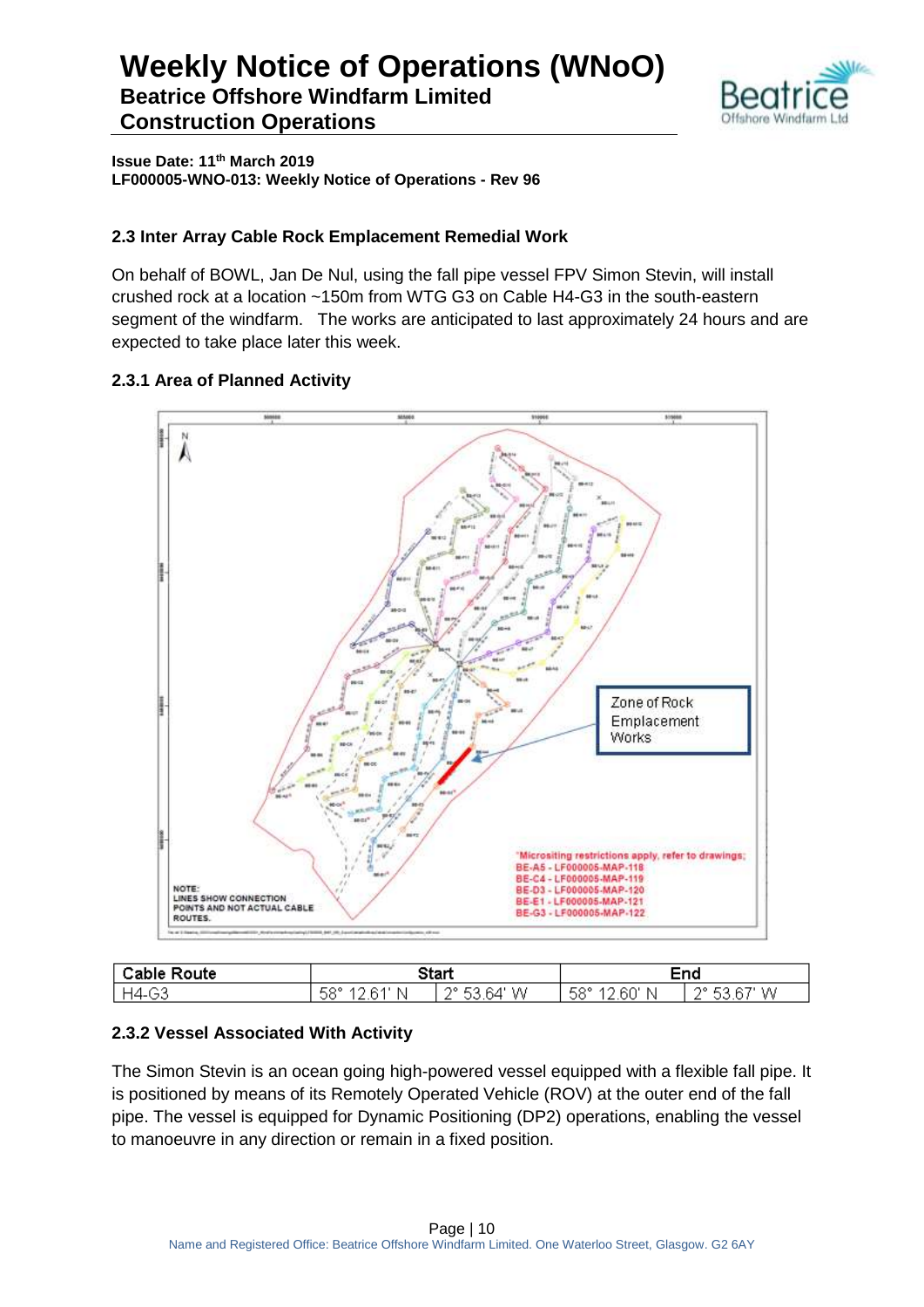

**Issue Date: 11th March 2019 LF000005-WNO-013: Weekly Notice of Operations - Rev 96**

#### **2.3 Inter Array Cable Rock Emplacement Remedial Work**

On behalf of BOWL, Jan De Nul, using the fall pipe vessel FPV Simon Stevin, will install crushed rock at a location ~150m from WTG G3 on Cable H4-G3 in the south-eastern segment of the windfarm. The works are anticipated to last approximately 24 hours and are expected to take place later this week.

#### **2.3.1 Area of Planned Activity**



| ™ah.<br>∙ute | 2tari     |                    | - - -                   | ⊐⊓ב                     |
|--------------|-----------|--------------------|-------------------------|-------------------------|
| ⌒⌒<br>¬⊿_    | -58°<br>N | ۸о<br>W<br>∸י<br>∸ | - 0<br>hL.<br>ויו<br>ುಂ | W<br>ര<br>ິ<br><u>_</u> |

#### **2.3.2 Vessel Associated With Activity**

The Simon Stevin is an ocean going high-powered vessel equipped with a flexible fall pipe. It is positioned by means of its Remotely Operated Vehicle (ROV) at the outer end of the fall pipe. The vessel is equipped for Dynamic Positioning (DP2) operations, enabling the vessel to manoeuvre in any direction or remain in a fixed position.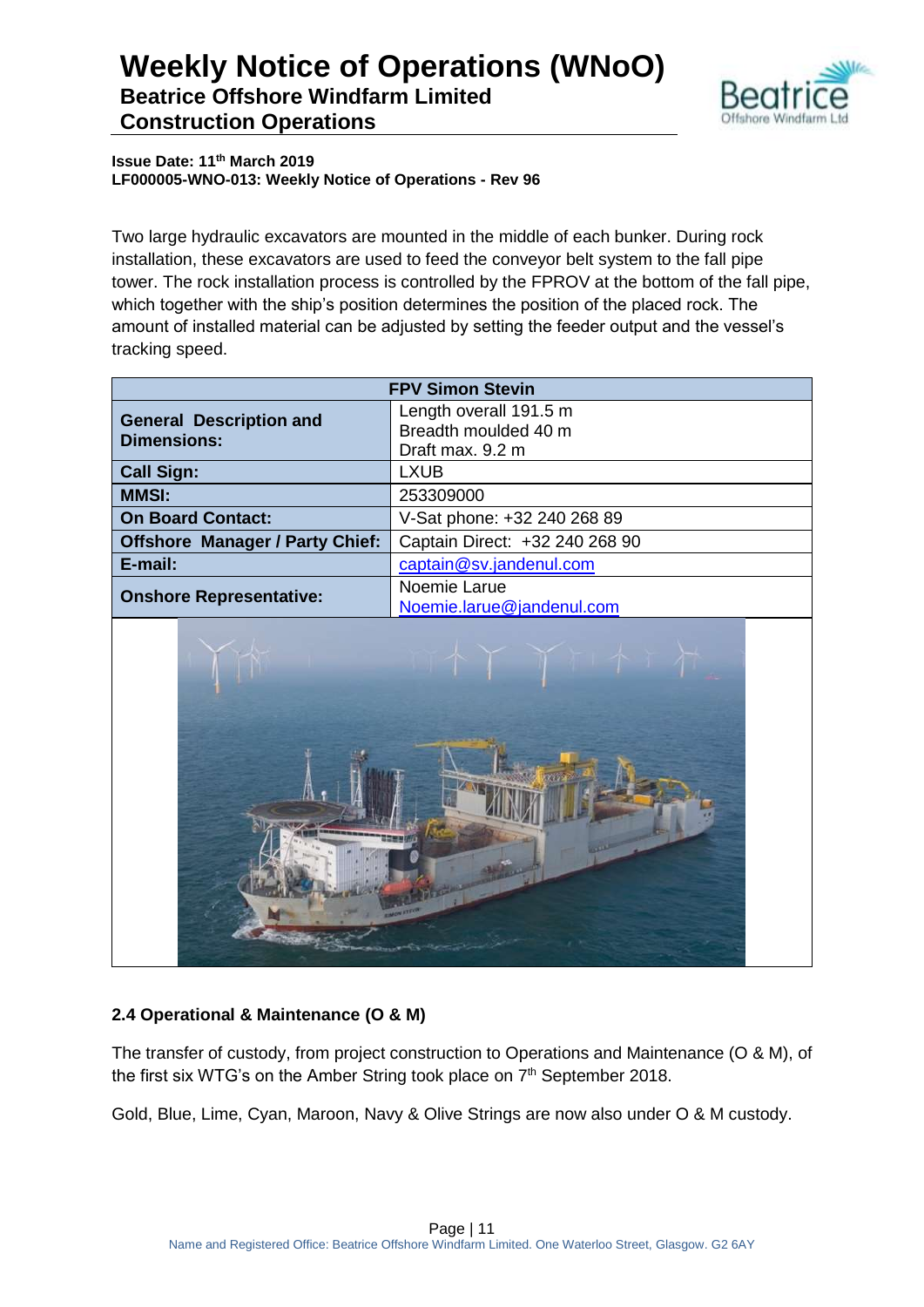

**Issue Date: 11th March 2019 LF000005-WNO-013: Weekly Notice of Operations - Rev 96**

Two large hydraulic excavators are mounted in the middle of each bunker. During rock installation, these excavators are used to feed the conveyor belt system to the fall pipe tower. The rock installation process is controlled by the FPROV at the bottom of the fall pipe, which together with the ship's position determines the position of the placed rock. The amount of installed material can be adjusted by setting the feeder output and the vessel's tracking speed.

|                                                      | <b>FPV Simon Stevin</b>                                            |  |
|------------------------------------------------------|--------------------------------------------------------------------|--|
| <b>General Description and</b><br><b>Dimensions:</b> | Length overall 191.5 m<br>Breadth moulded 40 m<br>Draft max. 9.2 m |  |
| <b>Call Sign:</b>                                    | <b>LXUB</b>                                                        |  |
| <b>MMSI:</b>                                         | 253309000                                                          |  |
| <b>On Board Contact:</b>                             | V-Sat phone: +32 240 268 89                                        |  |
| <b>Offshore Manager / Party Chief:</b>               | Captain Direct: +32 240 268 90                                     |  |
| E-mail:                                              | captain@sv.jandenul.com                                            |  |
| <b>Onshore Representative:</b>                       | Noemie Larue<br>Noemie.larue@jandenul.com                          |  |



#### **2.4 Operational & Maintenance (O & M)**

The transfer of custody, from project construction to Operations and Maintenance (O & M), of the first six WTG's on the Amber String took place on 7<sup>th</sup> September 2018.

Gold, Blue, Lime, Cyan, Maroon, Navy & Olive Strings are now also under O & M custody.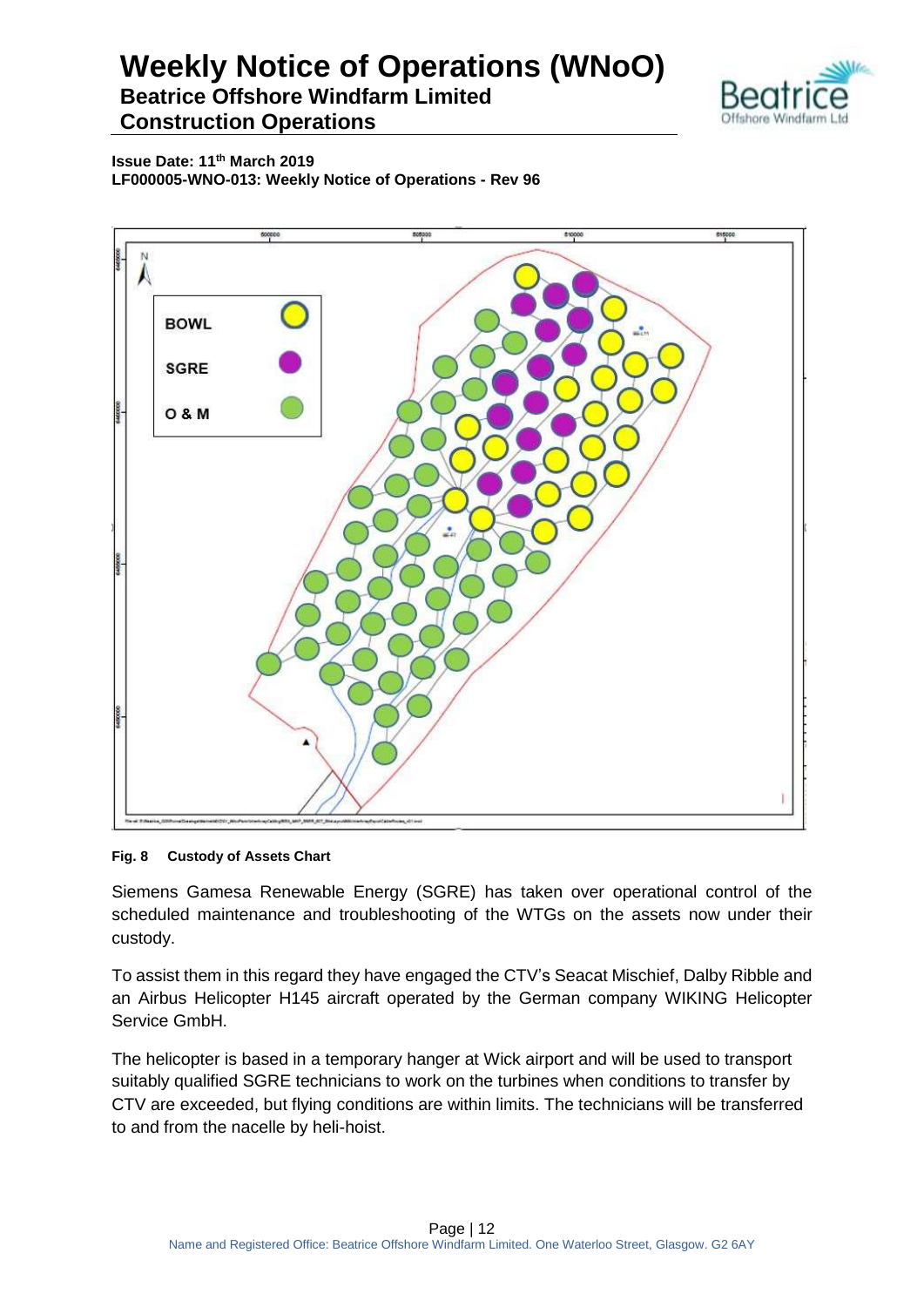

**Issue Date: 11th March 2019 LF000005-WNO-013: Weekly Notice of Operations - Rev 96**



#### **Fig. 8 Custody of Assets Chart**

Siemens Gamesa Renewable Energy (SGRE) has taken over operational control of the scheduled maintenance and troubleshooting of the WTGs on the assets now under their custody.

To assist them in this regard they have engaged the CTV's Seacat Mischief, Dalby Ribble and an Airbus Helicopter H145 aircraft operated by the German company WIKING Helicopter Service GmbH.

The helicopter is based in a temporary hanger at Wick airport and will be used to transport suitably qualified SGRE technicians to work on the turbines when conditions to transfer by CTV are exceeded, but flying conditions are within limits. The technicians will be transferred to and from the nacelle by heli-hoist.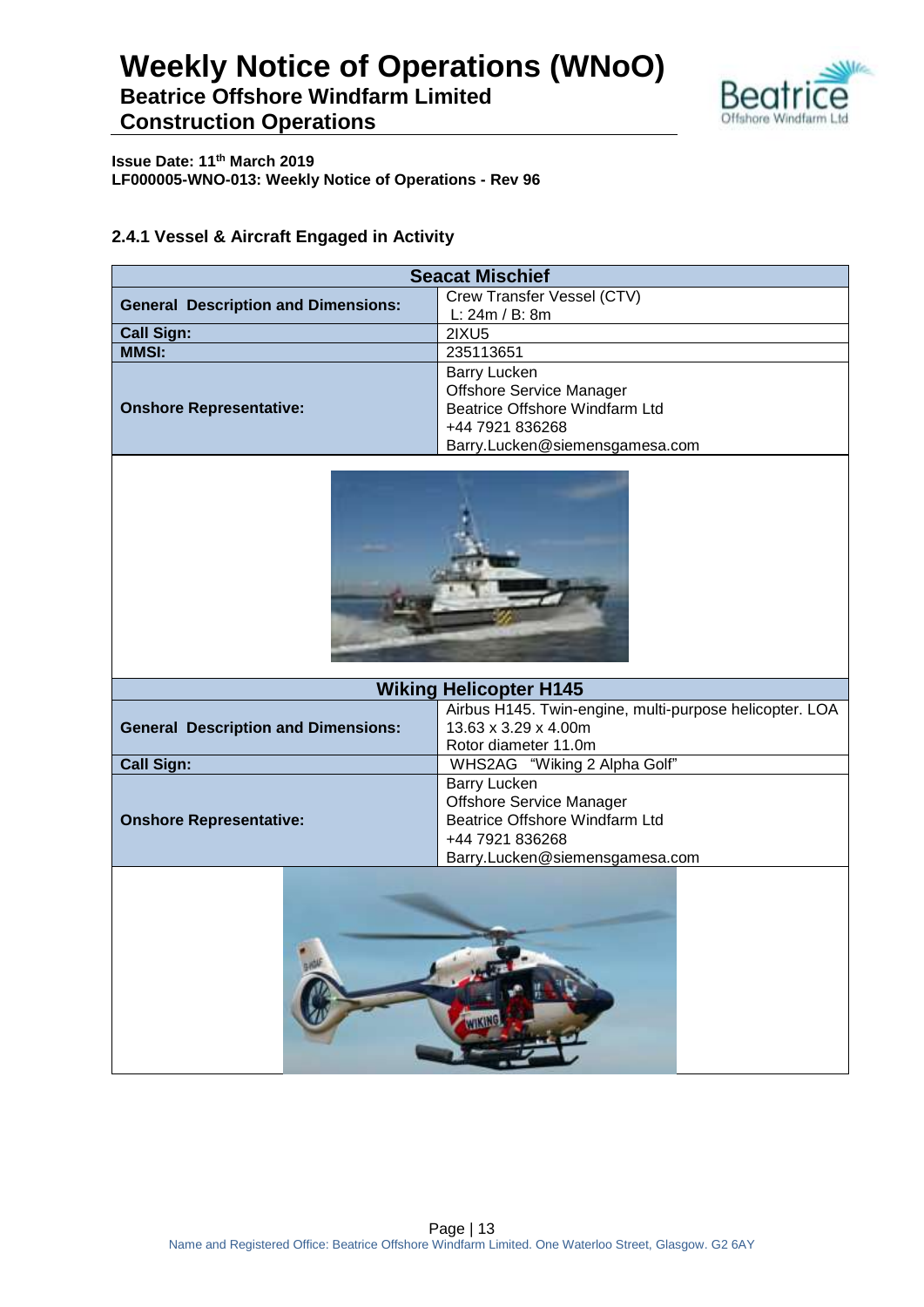

**Issue Date: 11th March 2019 LF000005-WNO-013: Weekly Notice of Operations - Rev 96**

#### **2.4.1 Vessel & Aircraft Engaged in Activity**

| <b>Seacat Mischief</b>          |  |
|---------------------------------|--|
| Crew Transfer Vessel (CTV)      |  |
| L: $24m / B$ : 8m               |  |
| 2IXU5                           |  |
| 235113651                       |  |
| <b>Barry Lucken</b>             |  |
| <b>Offshore Service Manager</b> |  |
| Beatrice Offshore Windfarm Ltd  |  |
| +44 7921 836268                 |  |
| Barry.Lucken@siemensgamesa.com  |  |
|                                 |  |



| <b>Wiking Helicopter H145</b>              |                                                         |
|--------------------------------------------|---------------------------------------------------------|
|                                            | Airbus H145. Twin-engine, multi-purpose helicopter. LOA |
| <b>General Description and Dimensions:</b> | 13.63 x 3.29 x 4.00m<br>Rotor diameter 11.0m            |
| <b>Call Sign:</b>                          | WHS2AG "Wiking 2 Alpha Golf"                            |
|                                            | Barry Lucken                                            |
|                                            | <b>Offshore Service Manager</b>                         |
| <b>Onshore Representative:</b>             | Beatrice Offshore Windfarm Ltd                          |
|                                            | +44 7921 836268                                         |
|                                            | Barry.Lucken@siemensgamesa.com                          |
|                                            |                                                         |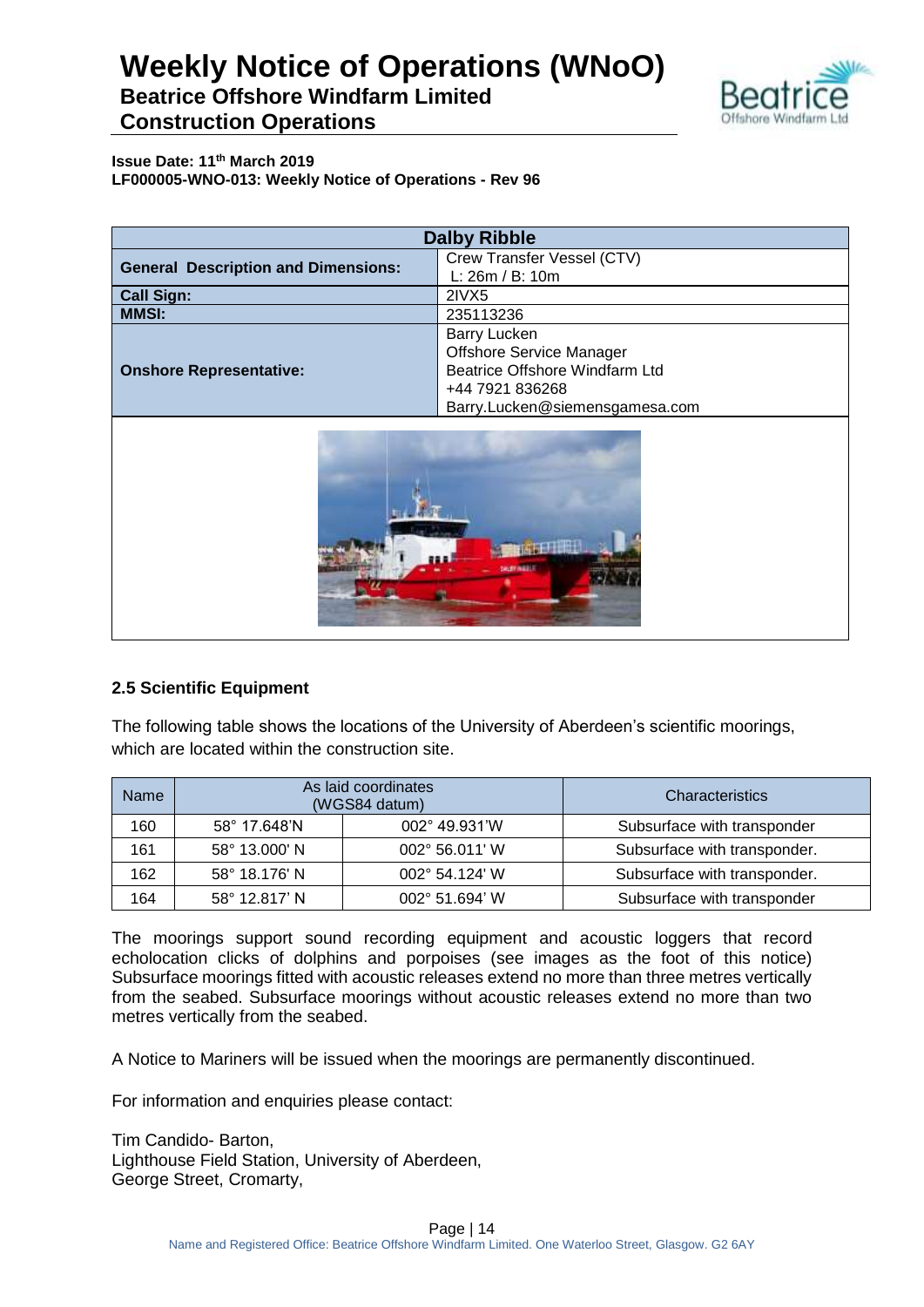## **Weekly Notice of Operations (WNoO) Beatrice Offshore Windfarm Limited**



**Construction Operations**

**Issue Date: 11th March 2019 LF000005-WNO-013: Weekly Notice of Operations - Rev 96**

| <b>Dalby Ribble</b>                        |                                                                                                                                               |
|--------------------------------------------|-----------------------------------------------------------------------------------------------------------------------------------------------|
| <b>General Description and Dimensions:</b> | Crew Transfer Vessel (CTV)<br>L: 26m / B: 10m                                                                                                 |
| <b>Call Sign:</b>                          | 2IVX5                                                                                                                                         |
| <b>MMSI:</b>                               | 235113236                                                                                                                                     |
| <b>Onshore Representative:</b>             | <b>Barry Lucken</b><br><b>Offshore Service Manager</b><br>Beatrice Offshore Windfarm Ltd<br>+44 7921 836268<br>Barry.Lucken@siemensgamesa.com |



#### **2.5 Scientific Equipment**

The following table shows the locations of the University of Aberdeen's scientific moorings, which are located within the construction site.

| <b>Name</b> |               | As laid coordinates<br>(WGS84 datum) | Characteristics              |  |  |
|-------------|---------------|--------------------------------------|------------------------------|--|--|
| 160         | 58° 17.648'N  | 002° 49.931'W                        | Subsurface with transponder  |  |  |
| 161         | 58° 13.000' N | 002° 56.011' W                       | Subsurface with transponder. |  |  |
| 162         | 58° 18.176' N | $002^{\circ}$ 54.124' W              | Subsurface with transponder. |  |  |
| 164         | 58° 12.817' N | 002° 51.694' W                       | Subsurface with transponder  |  |  |

The moorings support sound recording equipment and acoustic loggers that record echolocation clicks of dolphins and porpoises (see images as the foot of this notice) Subsurface moorings fitted with acoustic releases extend no more than three metres vertically from the seabed. Subsurface moorings without acoustic releases extend no more than two metres vertically from the seabed.

A Notice to Mariners will be issued when the moorings are permanently discontinued.

For information and enquiries please contact:

Tim Candido- Barton, Lighthouse Field Station, University of Aberdeen, George Street, Cromarty,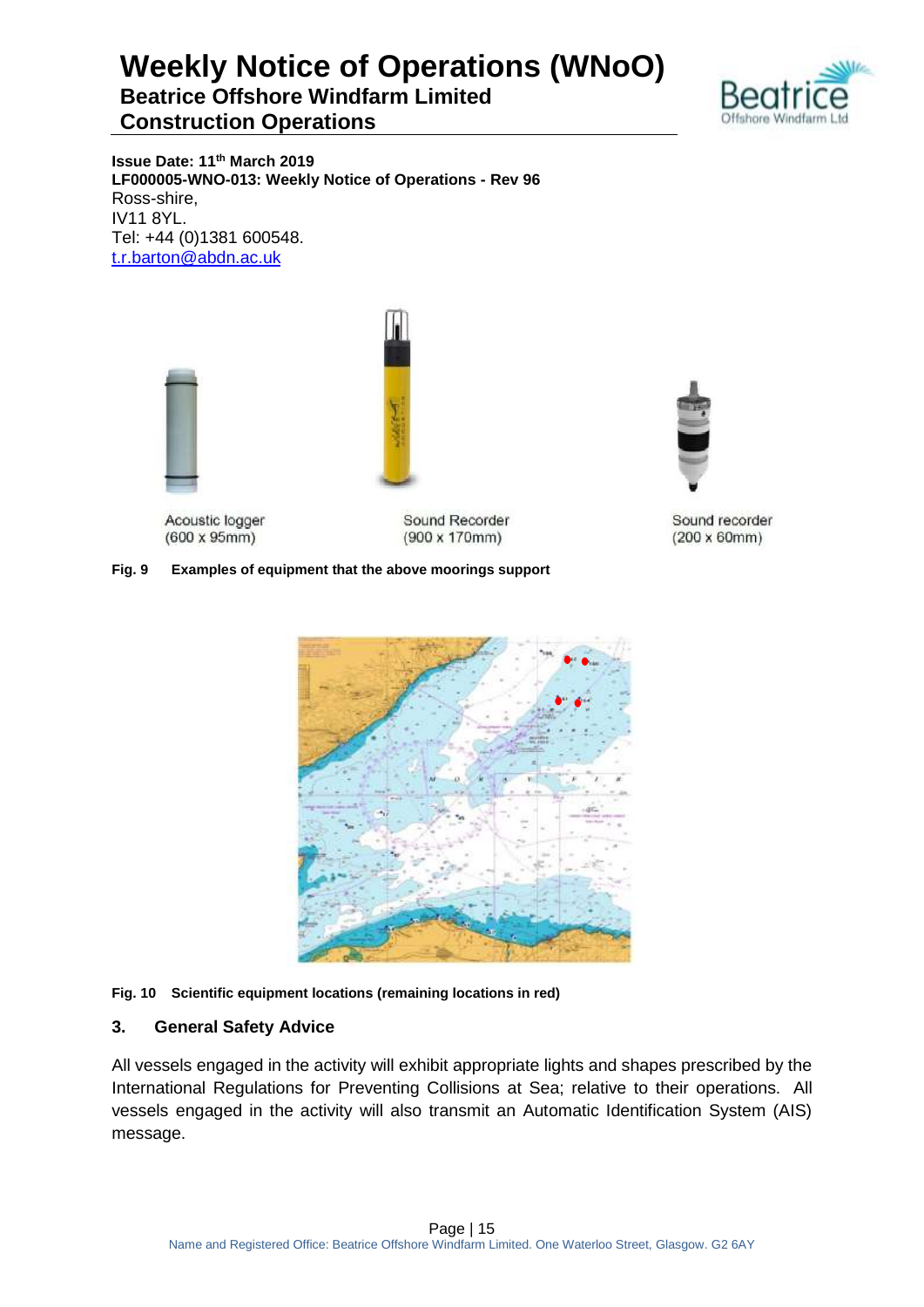

**Issue Date: 11th March 2019 LF000005-WNO-013: Weekly Notice of Operations - Rev 96** Ross-shire, IV11 8YL. Tel: +44 (0)1381 600548. [t.r.barton@abdn.ac.uk](mailto:t.r.barton@abdn.ac.uk)



Acoustic logger  $(600 \times 95 \text{mm})$ 

Sound Recorder  $(900 \times 170$ mm)

#### **Fig. 9 Examples of equipment that the above moorings support**



#### **Fig. 10 Scientific equipment locations (remaining locations in red)**

#### **3. General Safety Advice**

All vessels engaged in the activity will exhibit appropriate lights and shapes prescribed by the International Regulations for Preventing Collisions at Sea; relative to their operations. All vessels engaged in the activity will also transmit an Automatic Identification System (AIS) message.



Sound recorder  $(200 \times 60$ mm $)$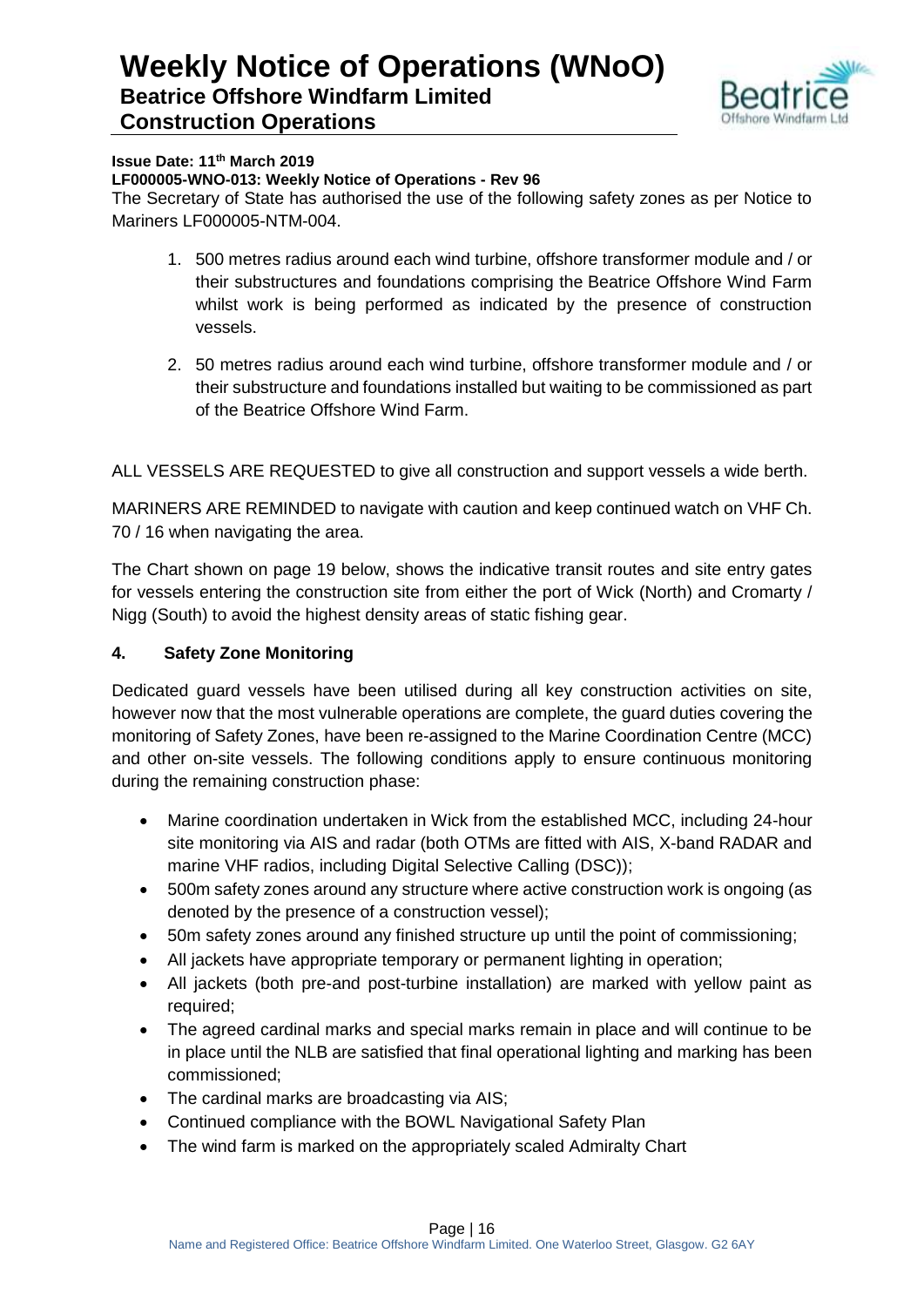

#### **Issue Date: 11th March 2019**

#### **LF000005-WNO-013: Weekly Notice of Operations - Rev 96**

The Secretary of State has authorised the use of the following safety zones as per Notice to Mariners LF000005-NTM-004.

- 1. 500 metres radius around each wind turbine, offshore transformer module and / or their substructures and foundations comprising the Beatrice Offshore Wind Farm whilst work is being performed as indicated by the presence of construction vessels.
- 2. 50 metres radius around each wind turbine, offshore transformer module and / or their substructure and foundations installed but waiting to be commissioned as part of the Beatrice Offshore Wind Farm.

ALL VESSELS ARE REQUESTED to give all construction and support vessels a wide berth.

MARINERS ARE REMINDED to navigate with caution and keep continued watch on VHF Ch. 70 / 16 when navigating the area.

The Chart shown on page 19 below, shows the indicative transit routes and site entry gates for vessels entering the construction site from either the port of Wick (North) and Cromarty / Nigg (South) to avoid the highest density areas of static fishing gear.

#### **4. Safety Zone Monitoring**

Dedicated guard vessels have been utilised during all key construction activities on site, however now that the most vulnerable operations are complete, the guard duties covering the monitoring of Safety Zones, have been re-assigned to the Marine Coordination Centre (MCC) and other on-site vessels. The following conditions apply to ensure continuous monitoring during the remaining construction phase:

- Marine coordination undertaken in Wick from the established MCC, including 24-hour site monitoring via AIS and radar (both OTMs are fitted with AIS, X-band RADAR and marine VHF radios, including Digital Selective Calling (DSC));
- 500m safety zones around any structure where active construction work is ongoing (as denoted by the presence of a construction vessel);
- 50m safety zones around any finished structure up until the point of commissioning;
- All jackets have appropriate temporary or permanent lighting in operation;
- All jackets (both pre-and post-turbine installation) are marked with yellow paint as required;
- The agreed cardinal marks and special marks remain in place and will continue to be in place until the NLB are satisfied that final operational lighting and marking has been commissioned;
- The cardinal marks are broadcasting via AIS;
- Continued compliance with the BOWL Navigational Safety Plan
- The wind farm is marked on the appropriately scaled Admiralty Chart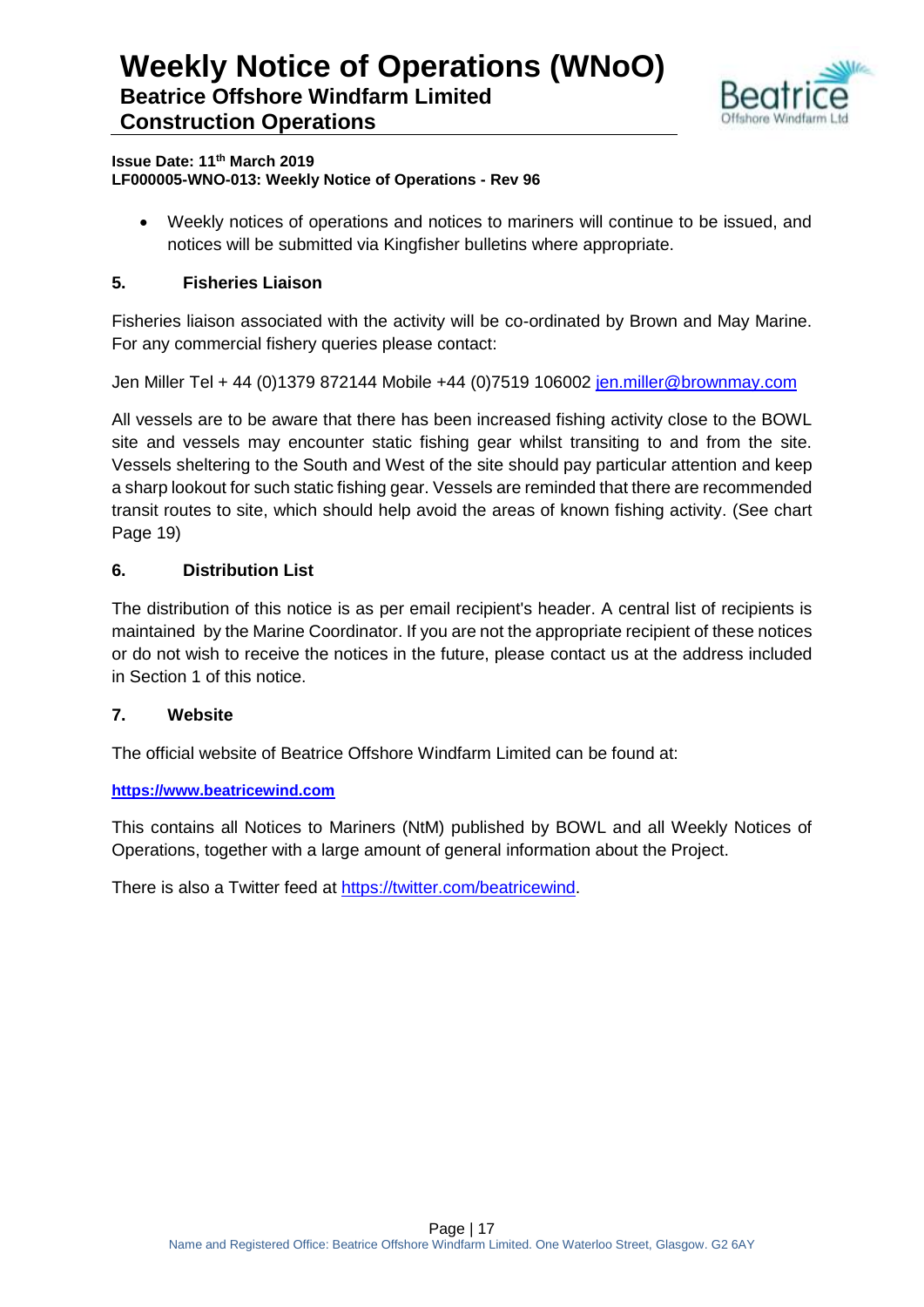

#### **Issue Date: 11th March 2019 LF000005-WNO-013: Weekly Notice of Operations - Rev 96**

 Weekly notices of operations and notices to mariners will continue to be issued, and notices will be submitted via Kingfisher bulletins where appropriate.

#### **5. Fisheries Liaison**

Fisheries liaison associated with the activity will be co-ordinated by Brown and May Marine. For any commercial fishery queries please contact:

Jen Miller Tel + 44 (0)1379 872144 Mobile +44 (0)7519 106002 [jen.miller@brownmay.com](mailto:jen.miller@brownmay.com)

All vessels are to be aware that there has been increased fishing activity close to the BOWL site and vessels may encounter static fishing gear whilst transiting to and from the site. Vessels sheltering to the South and West of the site should pay particular attention and keep a sharp lookout for such static fishing gear. Vessels are reminded that there are recommended transit routes to site, which should help avoid the areas of known fishing activity. (See chart Page 19)

#### **6. Distribution List**

The distribution of this notice is as per email recipient's header. A central list of recipients is maintained by the Marine Coordinator. If you are not the appropriate recipient of these notices or do not wish to receive the notices in the future, please contact us at the address included in Section 1 of this notice.

#### **7. Website**

The official website of Beatrice Offshore Windfarm Limited can be found at:

#### **[https://www.beatricewind.com](https://www.beatricewind.com/)**

This contains all Notices to Mariners (NtM) published by BOWL and all Weekly Notices of Operations, together with a large amount of general information about the Project.

There is also a Twitter feed at [https://twitter.com/beatricewind.](https://twitter.com/beatricewind)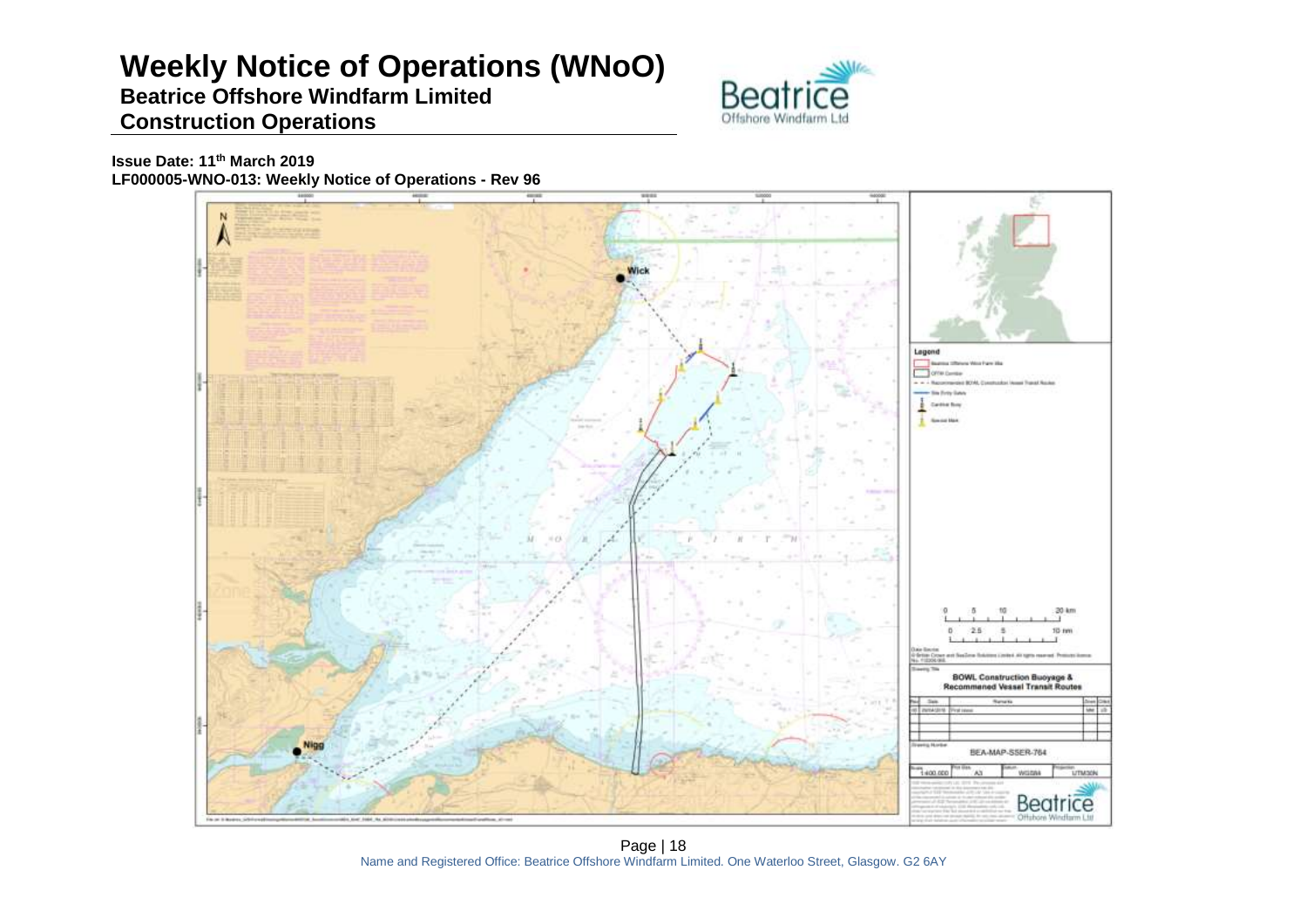# **Weekly Notice of Operations (WNoO)**

### **Beatrice Offshore Windfarm Limited Construction Operations**



**Issue Date: 11th March 2019 LF000005-WNO-013: Weekly Notice of Operations - Rev 96**



Page | 18 Name and Registered Office: Beatrice Offshore Windfarm Limited. One Waterloo Street, Glasgow. G2 6AY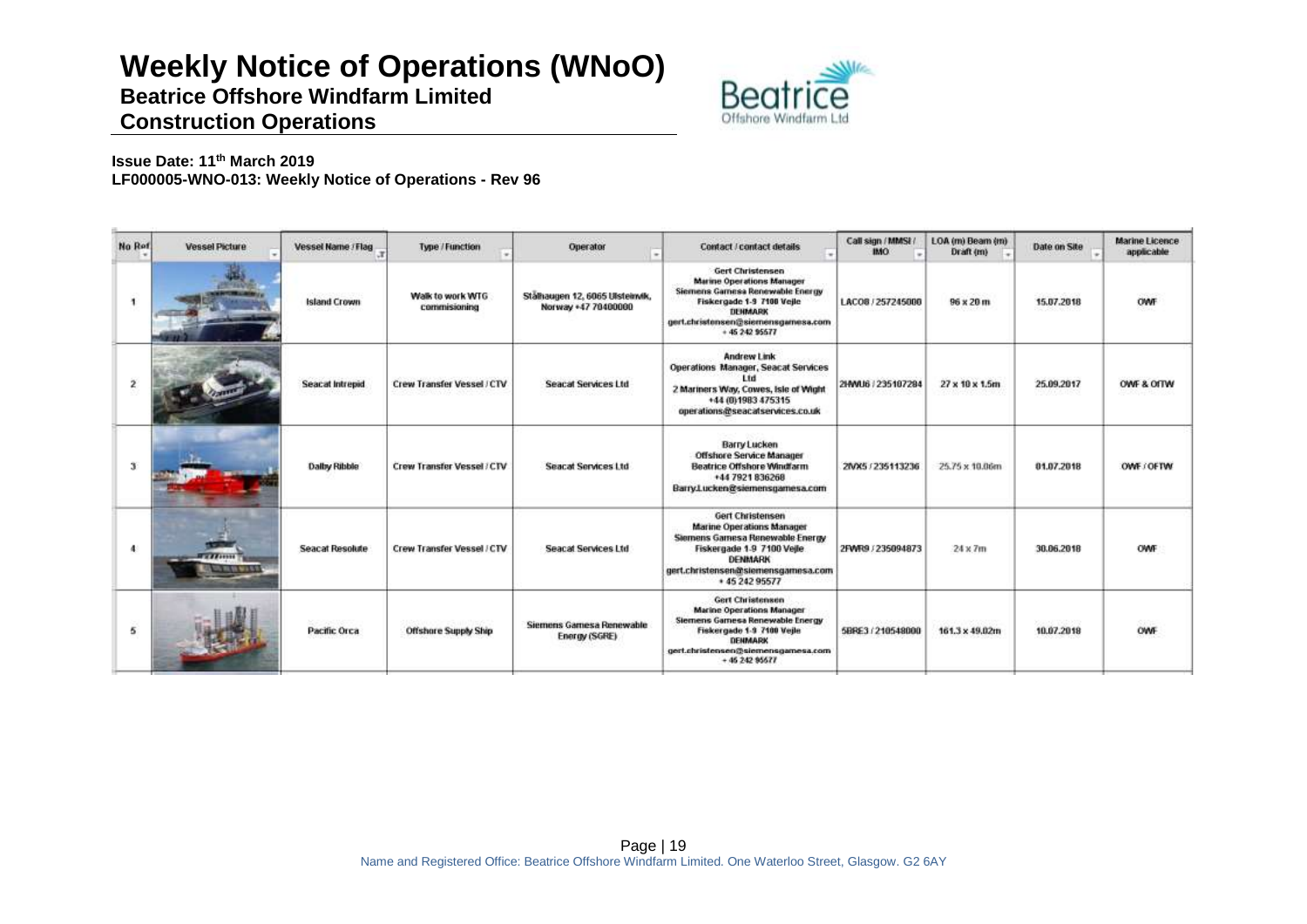# **Weekly Notice of Operations (WNoO)**

**Beatrice Offshore Windfarm Limited**



## **Construction Operations**

**Issue Date: 11th March 2019 LF000005-WNO-013: Weekly Notice of Operations - Rev 96**

| No Ref        | <b>Vessel Picture</b>              | Vessel Name / Flag     | Type / Function                   | Operator<br>٠                                          | <b>Contact / contact details</b>                                                                                                                                                                | Call sign / MMSI /<br><b>IMO</b> | LOA (m) Beam (m)<br>Draft (m)        | Date on Site                      | <b>Marine Licence</b><br>applicable |
|---------------|------------------------------------|------------------------|-----------------------------------|--------------------------------------------------------|-------------------------------------------------------------------------------------------------------------------------------------------------------------------------------------------------|----------------------------------|--------------------------------------|-----------------------------------|-------------------------------------|
|               | <b>PERMIT</b><br><b>PERSONAL</b>   | <b>Island Crown</b>    | Walk to work WTG<br>commissioning | Stälhaugen 12. 6065 Ulsteinvik,<br>Norway +47 70400000 | <b>Gert Christensen</b><br><b>Marine Operations Manager</b><br>Siemens Gamesa Renewable Energy<br>Fiskergade 1-9 7100 Veile<br>DENMARK<br>gert.christensen@siemensgamesa.com<br>$+ 45242$ 95577 | LACO8 / 257245000                | Telephone of additional<br>96 x 20 m | 15.07.2018                        | OWF                                 |
|               |                                    | <b>Seacat Intrepid</b> | Crew Transfer Vessel / CTV        | <b>Seacat Services Ltd</b>                             | <b>Andrew Link</b><br>Operations Manager, Seacat Services<br>l tri<br>2 Mariners Way, Cowes, Isle of Wight<br>+44 (0) 1983 475315<br>operations@seacatservices.co.uk                            | 2HWU6 / 235107284                | 27 x 10 x 1.5m                       | 25.09.2017                        | OWF & OITW                          |
| $\mathcal{X}$ |                                    | Dalby Ribble           | Crew Transfer Vessel / CTV        | <b>Seacat Services Ltd</b>                             | <b>Barry Lucken</b><br><b>Offshore Service Manager</b><br><b>Beatrice Offshore Windfarm</b><br>+44 7921 836268<br>Barry Lucken@siemensgamesa.com                                                | 2MX5 / 235113236                 | 25.75 x 10.06m                       | 01.07.2018                        | OWE/OFTW                            |
| 4             | <b>TELEVISION</b><br>TIL 55 MILLET | Seacat Resolute        | Crew Transfer Vessel / CTV        | Seacat Services Ltd                                    | Gert Christensen<br><b>Marine Operations Manager</b><br>Siemens Gamesa Renewable Energy<br>Fiskergade 1-9 7100 Vejle<br>DENMARK<br>gert.christensen@siemensgamesa.com<br>* 45 242 95577         | 2FWR9.7235094873                 | $24 \times 7m$                       | 36.06.2018                        | OWF                                 |
| 5             |                                    | Pacific Orca           | <b>Offshore Supply Ship</b>       | Siemens Gamesa Renewable<br>Energy (SGRE)              | <b>Gert Christensen</b><br><b>Marine Operations Manager</b><br>Siemens Gamesa Renewable Energy<br>Fiskergade 1-3 7100 Vejle<br>DENMARK<br>gert.christensen@siemensgamesa.com<br>$+4624295677$   | 5BRE3/210548000                  | 161.3 x 49.02m                       | 2010/08/19 02:20:30<br>10.07.2018 | OWF                                 |